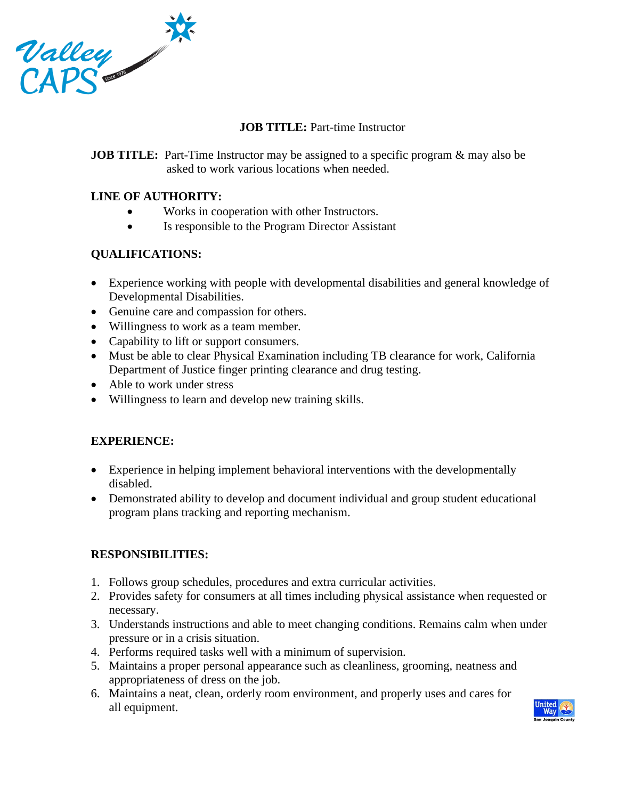

# **JOB TITLE:** Part-time Instructor

**JOB TITLE:** Part-Time Instructor may be assigned to a specific program & may also be asked to work various locations when needed.

# **LINE OF AUTHORITY:**

- Works in cooperation with other Instructors.
- Is responsible to the Program Director Assistant

### **QUALIFICATIONS:**

- Experience working with people with developmental disabilities and general knowledge of Developmental Disabilities.
- Genuine care and compassion for others.
- Willingness to work as a team member.
- Capability to lift or support consumers.
- Must be able to clear Physical Examination including TB clearance for work, California Department of Justice finger printing clearance and drug testing.
- Able to work under stress
- Willingness to learn and develop new training skills.

# **EXPERIENCE:**

- Experience in helping implement behavioral interventions with the developmentally disabled.
- Demonstrated ability to develop and document individual and group student educational program plans tracking and reporting mechanism.

# **RESPONSIBILITIES:**

- 1. Follows group schedules, procedures and extra curricular activities.
- 2. Provides safety for consumers at all times including physical assistance when requested or necessary.
- 3. Understands instructions and able to meet changing conditions. Remains calm when under pressure or in a crisis situation.
- 4. Performs required tasks well with a minimum of supervision.
- 5. Maintains a proper personal appearance such as cleanliness, grooming, neatness and appropriateness of dress on the job.
- 6. Maintains a neat, clean, orderly room environment, and properly uses and cares for all equipment.